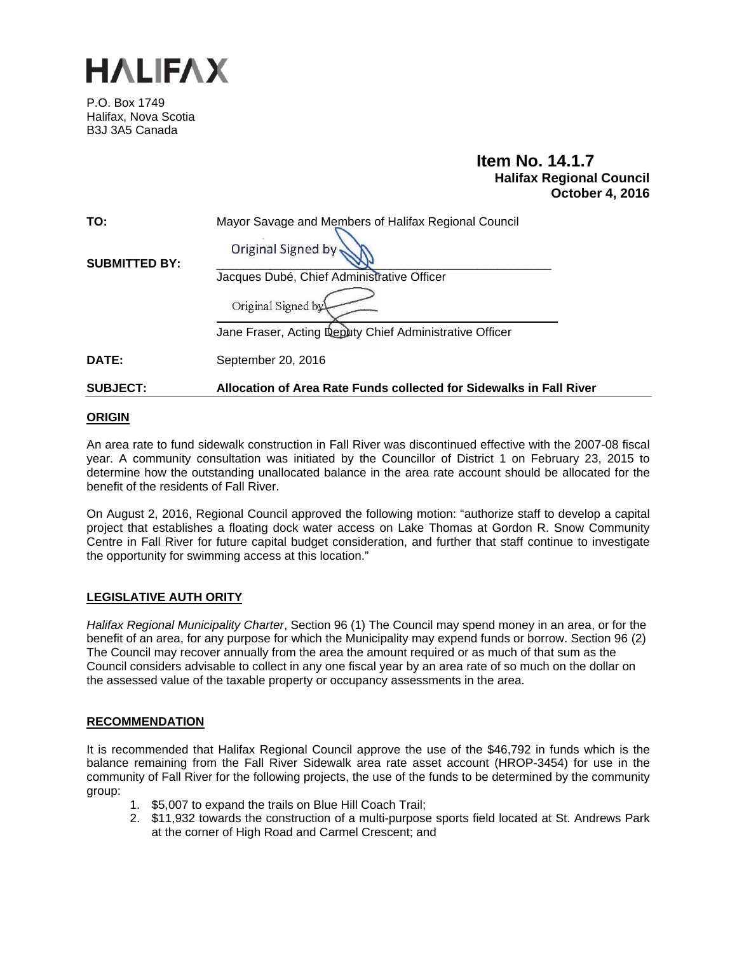

P.O. Box 1749 Halifax, Nova Scotia B3J 3A5 Canada

# **Item No. 14.1.7 Halifax Regional Council October 4, 2016**

| TO:                  | Mayor Savage and Members of Halifax Regional Council    |
|----------------------|---------------------------------------------------------|
| <b>SUBMITTED BY:</b> | Original Signed by                                      |
|                      | Jacques Dubé, Chief Administrative Officer              |
|                      | Original Signed by                                      |
|                      | Jane Fraser, Acting Deputy Chief Administrative Officer |
| DATE:                | September 20, 2016                                      |

**SUBJECT: Allocation of Area Rate Funds collected for Sidewalks in Fall River** 

### **ORIGIN**

An area rate to fund sidewalk construction in Fall River was discontinued effective with the 2007-08 fiscal year. A community consultation was initiated by the Councillor of District 1 on February 23, 2015 to determine how the outstanding unallocated balance in the area rate account should be allocated for the benefit of the residents of Fall River.

On August 2, 2016, Regional Council approved the following motion: "authorize staff to develop a capital project that establishes a floating dock water access on Lake Thomas at Gordon R. Snow Community Centre in Fall River for future capital budget consideration, and further that staff continue to investigate the opportunity for swimming access at this location."

### **LEGISLATIVE AUTH ORITY**

*Halifax Regional Municipality Charter*, Section 96 (1) The Council may spend money in an area, or for the benefit of an area, for any purpose for which the Municipality may expend funds or borrow. Section 96 (2) The Council may recover annually from the area the amount required or as much of that sum as the Council considers advisable to collect in any one fiscal year by an area rate of so much on the dollar on the assessed value of the taxable property or occupancy assessments in the area.

### **RECOMMENDATION**

It is recommended that Halifax Regional Council approve the use of the \$46,792 in funds which is the balance remaining from the Fall River Sidewalk area rate asset account (HROP-3454) for use in the community of Fall River for the following projects, the use of the funds to be determined by the community group:

- 1. \$5,007 to expand the trails on Blue Hill Coach Trail;
- 2. \$11,932 towards the construction of a multi-purpose sports field located at St. Andrews Park at the corner of High Road and Carmel Crescent; and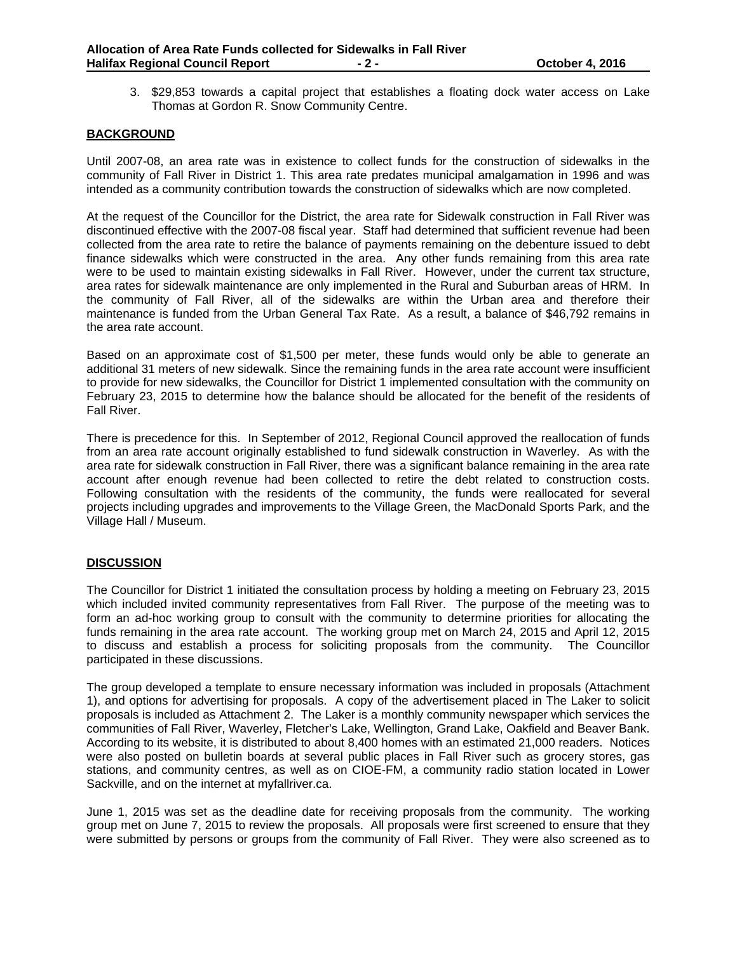3. \$29,853 towards a capital project that establishes a floating dock water access on Lake Thomas at Gordon R. Snow Community Centre.

### **BACKGROUND**

Until 2007-08, an area rate was in existence to collect funds for the construction of sidewalks in the community of Fall River in District 1. This area rate predates municipal amalgamation in 1996 and was intended as a community contribution towards the construction of sidewalks which are now completed.

At the request of the Councillor for the District, the area rate for Sidewalk construction in Fall River was discontinued effective with the 2007-08 fiscal year. Staff had determined that sufficient revenue had been collected from the area rate to retire the balance of payments remaining on the debenture issued to debt finance sidewalks which were constructed in the area. Any other funds remaining from this area rate were to be used to maintain existing sidewalks in Fall River. However, under the current tax structure, area rates for sidewalk maintenance are only implemented in the Rural and Suburban areas of HRM. In the community of Fall River, all of the sidewalks are within the Urban area and therefore their maintenance is funded from the Urban General Tax Rate. As a result, a balance of \$46,792 remains in the area rate account.

Based on an approximate cost of \$1,500 per meter, these funds would only be able to generate an additional 31 meters of new sidewalk. Since the remaining funds in the area rate account were insufficient to provide for new sidewalks, the Councillor for District 1 implemented consultation with the community on February 23, 2015 to determine how the balance should be allocated for the benefit of the residents of Fall River.

There is precedence for this. In September of 2012, Regional Council approved the reallocation of funds from an area rate account originally established to fund sidewalk construction in Waverley. As with the area rate for sidewalk construction in Fall River, there was a significant balance remaining in the area rate account after enough revenue had been collected to retire the debt related to construction costs. Following consultation with the residents of the community, the funds were reallocated for several projects including upgrades and improvements to the Village Green, the MacDonald Sports Park, and the Village Hall / Museum.

### **DISCUSSION**

The Councillor for District 1 initiated the consultation process by holding a meeting on February 23, 2015 which included invited community representatives from Fall River. The purpose of the meeting was to form an ad-hoc working group to consult with the community to determine priorities for allocating the funds remaining in the area rate account. The working group met on March 24, 2015 and April 12, 2015 to discuss and establish a process for soliciting proposals from the community. The Councillor participated in these discussions.

The group developed a template to ensure necessary information was included in proposals (Attachment 1), and options for advertising for proposals. A copy of the advertisement placed in The Laker to solicit proposals is included as Attachment 2. The Laker is a monthly community newspaper which services the communities of Fall River, Waverley, Fletcher's Lake, Wellington, Grand Lake, Oakfield and Beaver Bank. According to its website, it is distributed to about 8,400 homes with an estimated 21,000 readers. Notices were also posted on bulletin boards at several public places in Fall River such as grocery stores, gas stations, and community centres, as well as on CIOE-FM, a community radio station located in Lower Sackville, and on the internet at myfallriver.ca.

June 1, 2015 was set as the deadline date for receiving proposals from the community. The working group met on June 7, 2015 to review the proposals. All proposals were first screened to ensure that they were submitted by persons or groups from the community of Fall River. They were also screened as to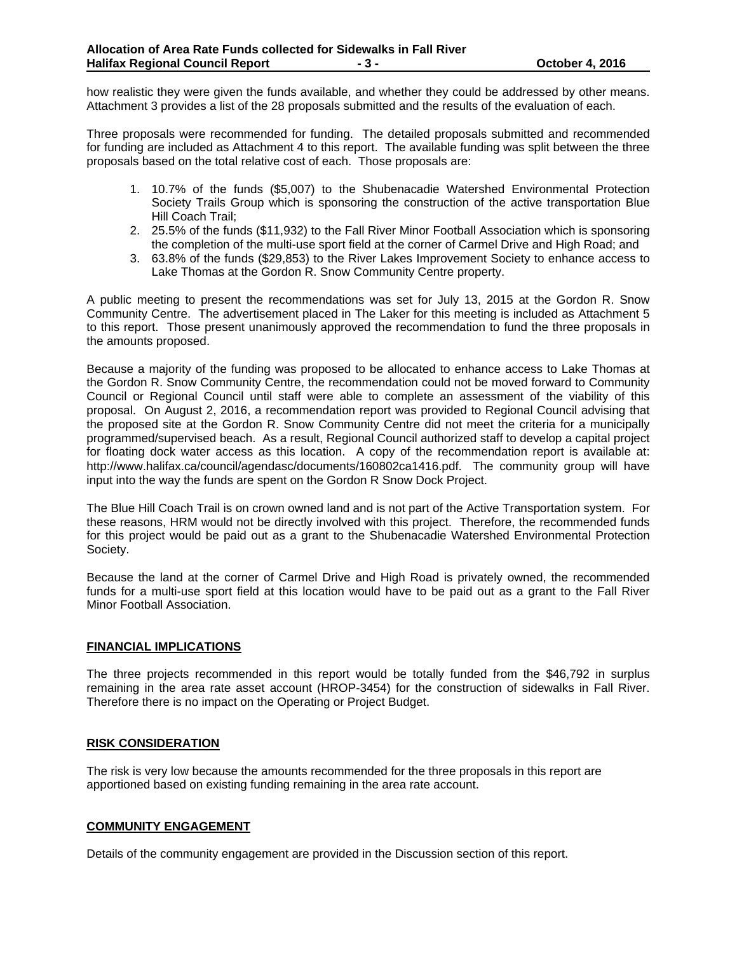how realistic they were given the funds available, and whether they could be addressed by other means. Attachment 3 provides a list of the 28 proposals submitted and the results of the evaluation of each.

Three proposals were recommended for funding. The detailed proposals submitted and recommended for funding are included as Attachment 4 to this report. The available funding was split between the three proposals based on the total relative cost of each. Those proposals are:

- 1. 10.7% of the funds (\$5,007) to the Shubenacadie Watershed Environmental Protection Society Trails Group which is sponsoring the construction of the active transportation Blue Hill Coach Trail;
- 2. 25.5% of the funds (\$11,932) to the Fall River Minor Football Association which is sponsoring the completion of the multi-use sport field at the corner of Carmel Drive and High Road; and
- 3. 63.8% of the funds (\$29,853) to the River Lakes Improvement Society to enhance access to Lake Thomas at the Gordon R. Snow Community Centre property.

A public meeting to present the recommendations was set for July 13, 2015 at the Gordon R. Snow Community Centre. The advertisement placed in The Laker for this meeting is included as Attachment 5 to this report. Those present unanimously approved the recommendation to fund the three proposals in the amounts proposed.

Because a majority of the funding was proposed to be allocated to enhance access to Lake Thomas at the Gordon R. Snow Community Centre, the recommendation could not be moved forward to Community Council or Regional Council until staff were able to complete an assessment of the viability of this proposal. On August 2, 2016, a recommendation report was provided to Regional Council advising that the proposed site at the Gordon R. Snow Community Centre did not meet the criteria for a municipally programmed/supervised beach. As a result, Regional Council authorized staff to develop a capital project for floating dock water access as this location. A copy of the recommendation report is available at: http://www.halifax.ca/council/agendasc/documents/160802ca1416.pdf. The community group will have input into the way the funds are spent on the Gordon R Snow Dock Project.

The Blue Hill Coach Trail is on crown owned land and is not part of the Active Transportation system. For these reasons, HRM would not be directly involved with this project. Therefore, the recommended funds for this project would be paid out as a grant to the Shubenacadie Watershed Environmental Protection Society.

Because the land at the corner of Carmel Drive and High Road is privately owned, the recommended funds for a multi-use sport field at this location would have to be paid out as a grant to the Fall River Minor Football Association.

### **FINANCIAL IMPLICATIONS**

The three projects recommended in this report would be totally funded from the \$46,792 in surplus remaining in the area rate asset account (HROP-3454) for the construction of sidewalks in Fall River. Therefore there is no impact on the Operating or Project Budget.

### **RISK CONSIDERATION**

The risk is very low because the amounts recommended for the three proposals in this report are apportioned based on existing funding remaining in the area rate account.

### **COMMUNITY ENGAGEMENT**

Details of the community engagement are provided in the Discussion section of this report.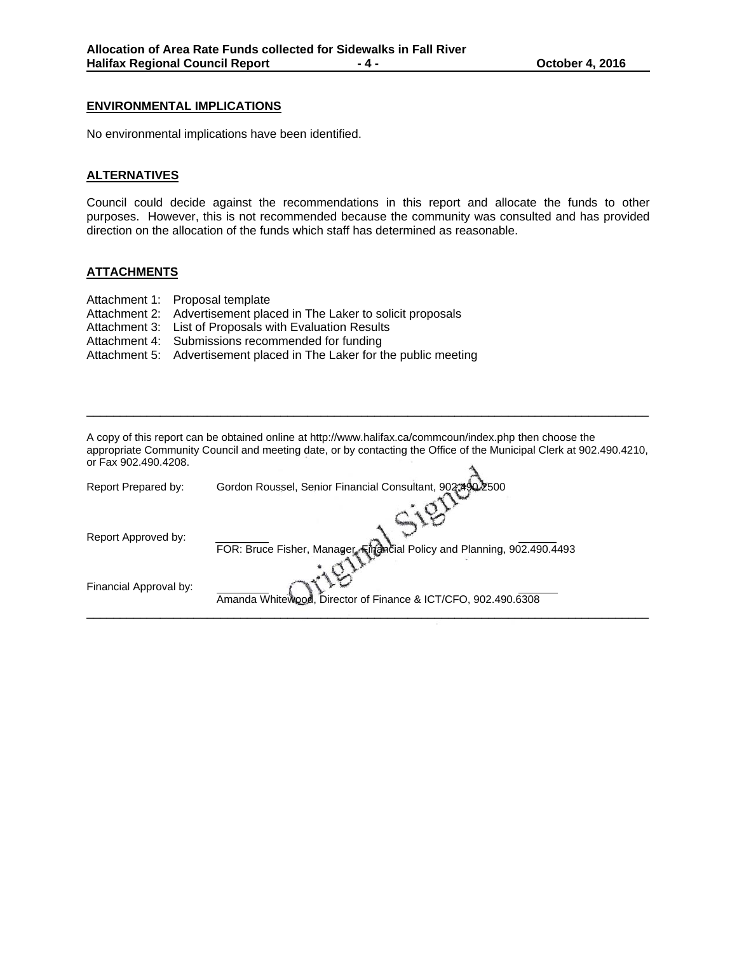### **ENVIRONMENTAL IMPLICATIONS**

No environmental implications have been identified.

### **ALTERNATIVES**

Council could decide against the recommendations in this report and allocate the funds to other purposes. However, this is not recommended because the community was consulted and has provided direction on the allocation of the funds which staff has determined as reasonable.

### **ATTACHMENTS**

- Attachment 1: Proposal template
- Attachment 2: Advertisement placed in The Laker to solicit proposals
- Attachment 3: List of Proposals with Evaluation Results
- Attachment 4: Submissions recommended for funding
- Attachment 5: Advertisement placed in The Laker for the public meeting

A copy of this report can be obtained online at http://www.halifax.ca/commcoun/index.php then choose the appropriate Community Council and meeting date, or by contacting the Office of the Municipal Clerk at 902.490.4210, or Fax 902.490.4208.  $\Delta$ 

\_\_\_\_\_\_\_\_\_\_\_\_\_\_\_\_\_\_\_\_\_\_\_\_\_\_\_\_\_\_\_\_\_\_\_\_\_\_\_\_\_\_\_\_\_\_\_\_\_\_\_\_\_\_\_\_\_\_\_\_\_\_\_\_\_\_\_\_\_\_\_\_\_\_\_\_\_\_\_\_\_\_\_\_

| Report Prepared by:    | Gordon Roussel, Senior Financial Consultant, 902.490.2500               |
|------------------------|-------------------------------------------------------------------------|
| Report Approved by:    | FOR: Bruce Fisher, Manager, Financial Policy and Planning, 902.490.4493 |
| Financial Approval by: | Amanda Whitewood, Director of Finance & ICT/CFO, 902.490.6308           |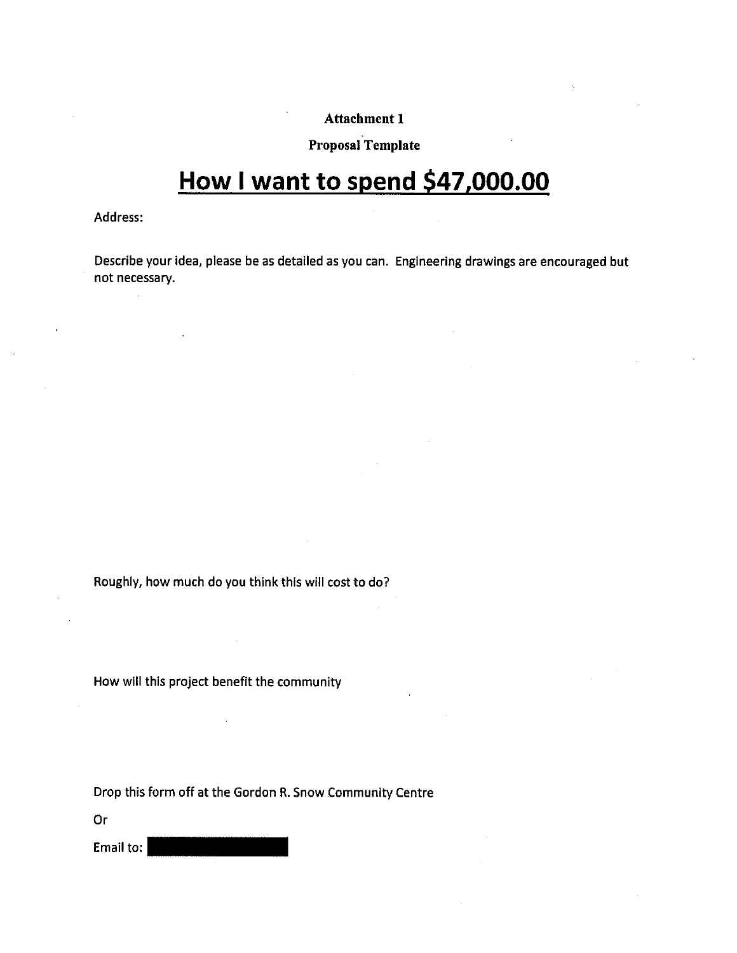# Proposal Template

# **How I want to spend \$47,000.00**

Address:

 $\sim$ 

Describe your idea, please be as detailed as you can. Engineering drawings are encouraged but not necessary.

Roughly, how much do you think this will cost to do?

How will this project benefit the community

Drop this form off at the Cordon R. Snow Community Centre

Or

Email to: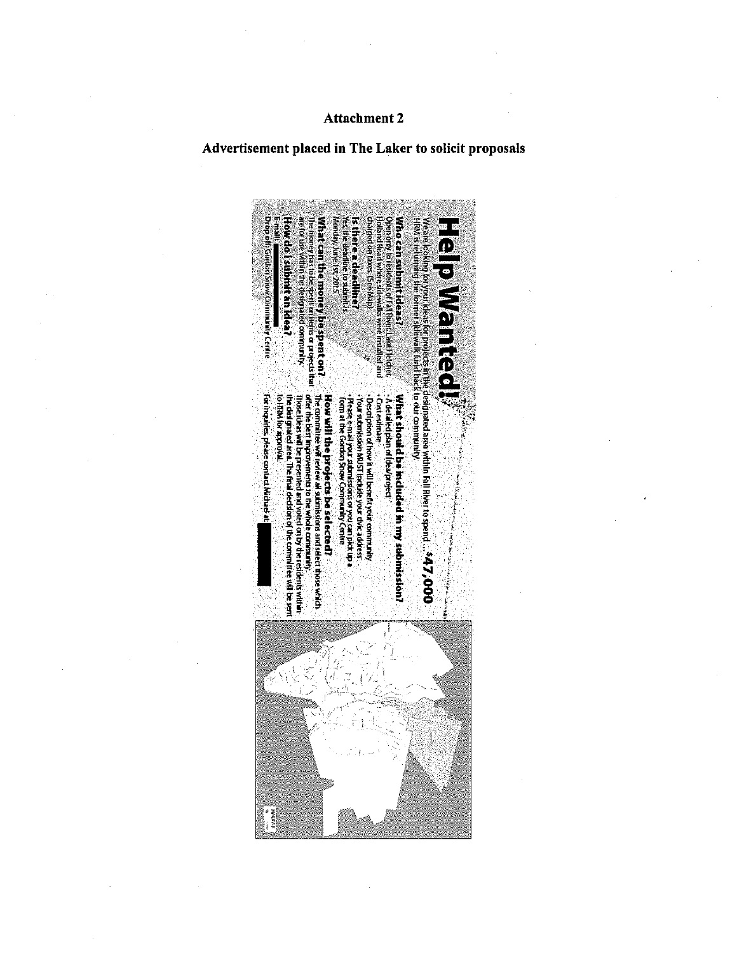# Advertisement placed in The Laker to solicit proposals

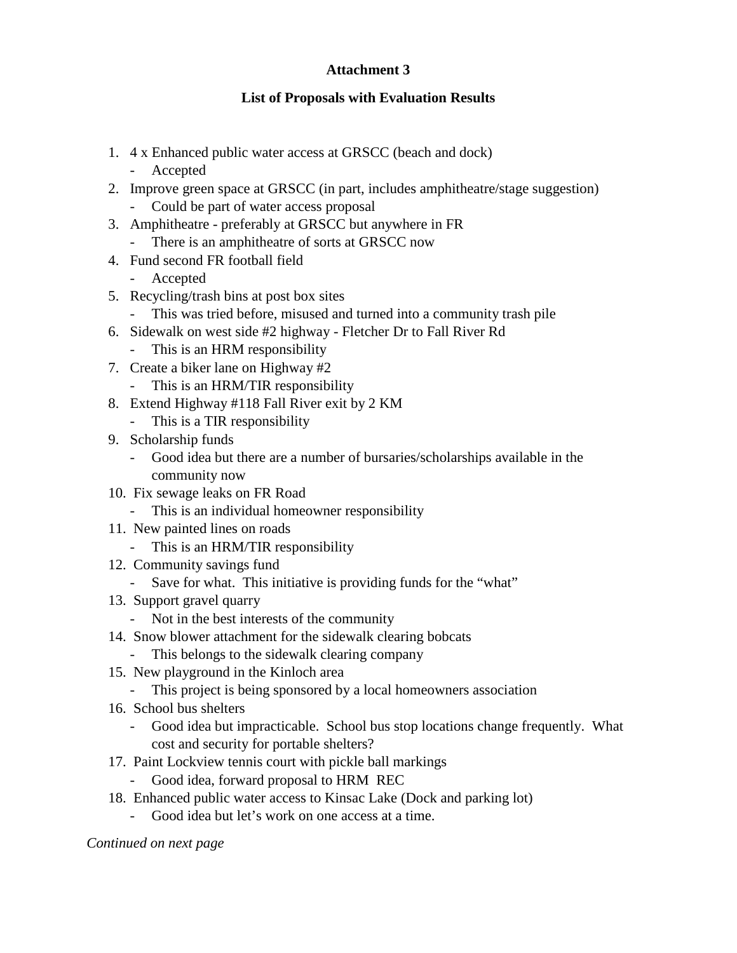# **List of Proposals with Evaluation Results**

- 1. 4 x Enhanced public water access at GRSCC (beach and dock)
	- Accepted
- 2. Improve green space at GRSCC (in part, includes amphitheatre/stage suggestion)
	- Could be part of water access proposal
- 3. Amphitheatre preferably at GRSCC but anywhere in FR
	- There is an amphitheatre of sorts at GRSCC now
- 4. Fund second FR football field
	- Accepted
- 5. Recycling/trash bins at post box sites
- This was tried before, misused and turned into a community trash pile
- 6. Sidewalk on west side #2 highway Fletcher Dr to Fall River Rd
	- This is an HRM responsibility
- 7. Create a biker lane on Highway #2
	- This is an HRM/TIR responsibility
- 8. Extend Highway #118 Fall River exit by 2 KM
	- This is a TIR responsibility
- 9. Scholarship funds
	- Good idea but there are a number of bursaries/scholarships available in the community now
- 10. Fix sewage leaks on FR Road
	- This is an individual homeowner responsibility
- 11. New painted lines on roads
	- This is an HRM/TIR responsibility
- 12. Community savings fund
	- Save for what. This initiative is providing funds for the "what"
- 13. Support gravel quarry
	- Not in the best interests of the community
- 14. Snow blower attachment for the sidewalk clearing bobcats
	- This belongs to the sidewalk clearing company
- 15. New playground in the Kinloch area
	- This project is being sponsored by a local homeowners association
- 16. School bus shelters
	- Good idea but impracticable. School bus stop locations change frequently. What cost and security for portable shelters?
- 17. Paint Lockview tennis court with pickle ball markings
	- Good idea, forward proposal to HRM REC
- 18. Enhanced public water access to Kinsac Lake (Dock and parking lot)
	- Good idea but let's work on one access at a time.

*Continued on next page*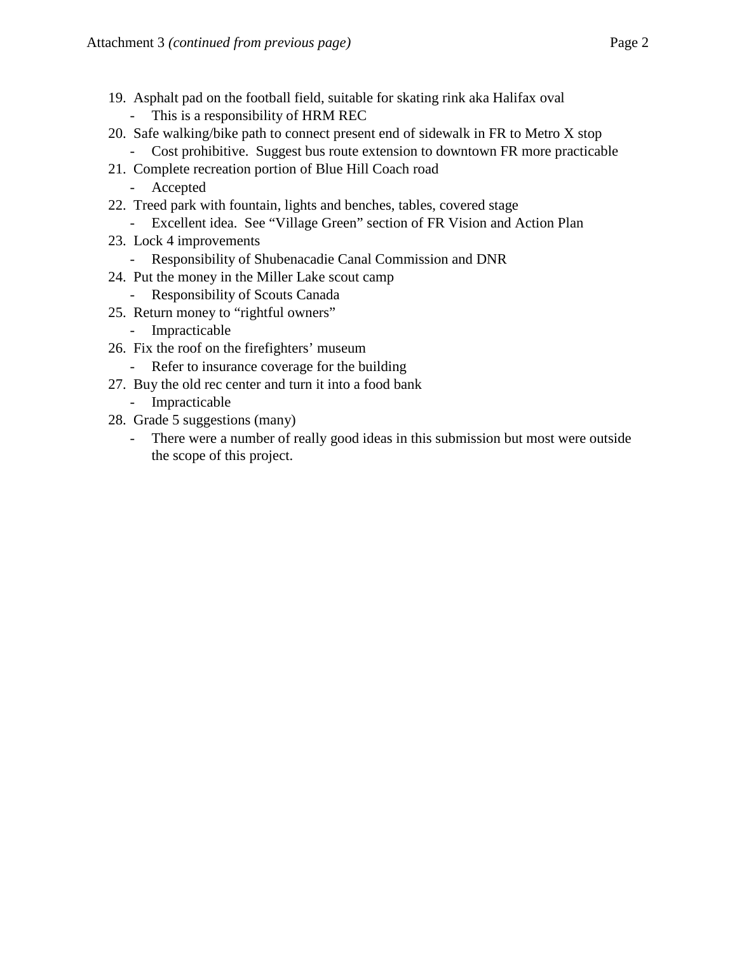- 19. Asphalt pad on the football field, suitable for skating rink aka Halifax oval - This is a responsibility of HRM REC
- 20. Safe walking/bike path to connect present end of sidewalk in FR to Metro X stop
	- Cost prohibitive. Suggest bus route extension to downtown FR more practicable
- 21. Complete recreation portion of Blue Hill Coach road
	- Accepted
- 22. Treed park with fountain, lights and benches, tables, covered stage
	- Excellent idea. See "Village Green" section of FR Vision and Action Plan
- 23. Lock 4 improvements
	- Responsibility of Shubenacadie Canal Commission and DNR
- 24. Put the money in the Miller Lake scout camp
	- Responsibility of Scouts Canada
- 25. Return money to "rightful owners"
	- Impracticable
- 26. Fix the roof on the firefighters' museum
	- Refer to insurance coverage for the building
- 27. Buy the old rec center and turn it into a food bank
	- Impracticable
- 28. Grade 5 suggestions (many)
	- There were a number of really good ideas in this submission but most were outside the scope of this project.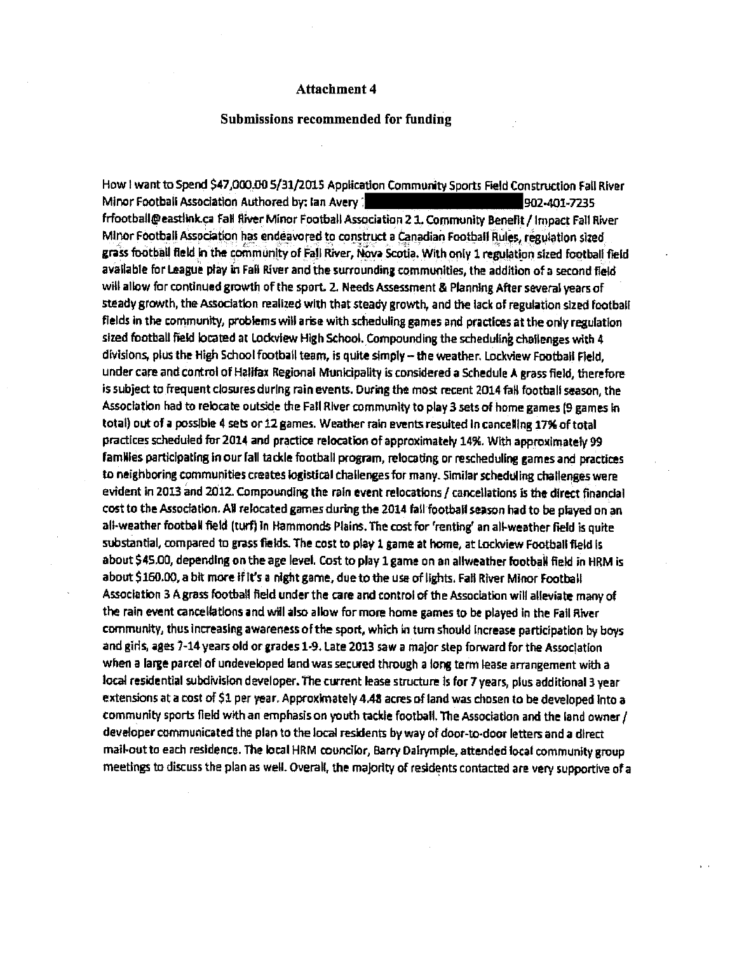### Submissions recommended for funding

How I want to Spend \$47,000.00 5/31/2015 Application Community Sports Field Construction Fall River Minor Football Association Authored by: Ian Avery 7 1988 1988 1988 1988-1989 1982-401-7235 frfootball@eastlink.ca Fall River Minor Football Association 2 1. Community Benefit / Impact Fall River Minor Football Association has endeavored to construct <sup>a</sup> Canadian Football Rules, regulation sized grass football field in the community of Fail River, Nova Scotia, With only 1 regulation sized football field available for League play in Fall River and the surrounding communities, the addition of a second field will allow for continued growth of the sport. 2. Needs Assessment & Planning After several years of steady growth, the Association realized with that steady growth, and the lack of regulation sized football fields in the community, problems will arise with scheduling games and practices at the only regulation sized football field located at Lockview High School. Compounding the scheduling challenges with 4 divisions plus the High Schoolfoothall team, is quite simply — the weather, Lockview Football Field, under care and control of Halifax Regional Municipality is considered a Schedule <sup>A</sup> grass field, therefore is subject to frequent closures during rain events. During the most recent 2014 fall football season, the Association had to relocate outside the Fall River communityto play 3 sets of home games (9 games in total) out of <sup>a</sup> possible <sup>4</sup> sets or 12 games. Weather rain events resulted In cancelling 17% of total practices scheduled fbr 2014 and practice relocation of approximately 14% With approxImately 99 families participating in our fall tackle football program, relocating or rescheduling games and practices to neighboring communities creates logistical challengesfor many. Similar scheduling challenges were evident in 2013 and 2012. Compounding the rain event relocations / cancellations is the direct financial cost to the Association. All relocated games during the 2014 fall football season had to be played on an all-weather football field (turf) in Hammonds Plains. The cost for 'renting' an allweather field is quite substantial, compared to grass fields. The cost to play <sup>1</sup> game at home, at Lockview Football field Is about \$45O0, dependIng on the age level. Cost to play <sup>1</sup> game on an allweather football field in HRM is about \$160.00, a bit more if it's <sup>a</sup> night game, due to the use of lights. Fall River Minor Football Association <sup>3</sup> <sup>A</sup> grass football field under the care and control of the Association will alleviate many of the rain event cancellations and will also allow for more home games to be played in the Fall River community, thus increasing awareness of the sport, which in turn should increase participation by boys and girls, ages 7-14 years old or grades 1-9. Late 2013 saw a major step forward for the Association when a large parcel of undeveloped land was secured through a long term lease arrangement with a local residential subdivision developer, The current lease structure is for 7 years. plus additional <sup>3</sup> year extensions at a cost of \$1 per year. Approximately 4.48 acres of land was chosen to be developed into a community sports field with an emphasison youth tackle football. The Association and the land owner/ developer communicated the plan to the local resldents by way of door-to-door letters and <sup>a</sup> direct mailoutto each residence. The local HRM councilor, Barry Dairymple, attended local community group meetings to discuss the plan as well. Overall, the majority of residents contacted are very supportive of a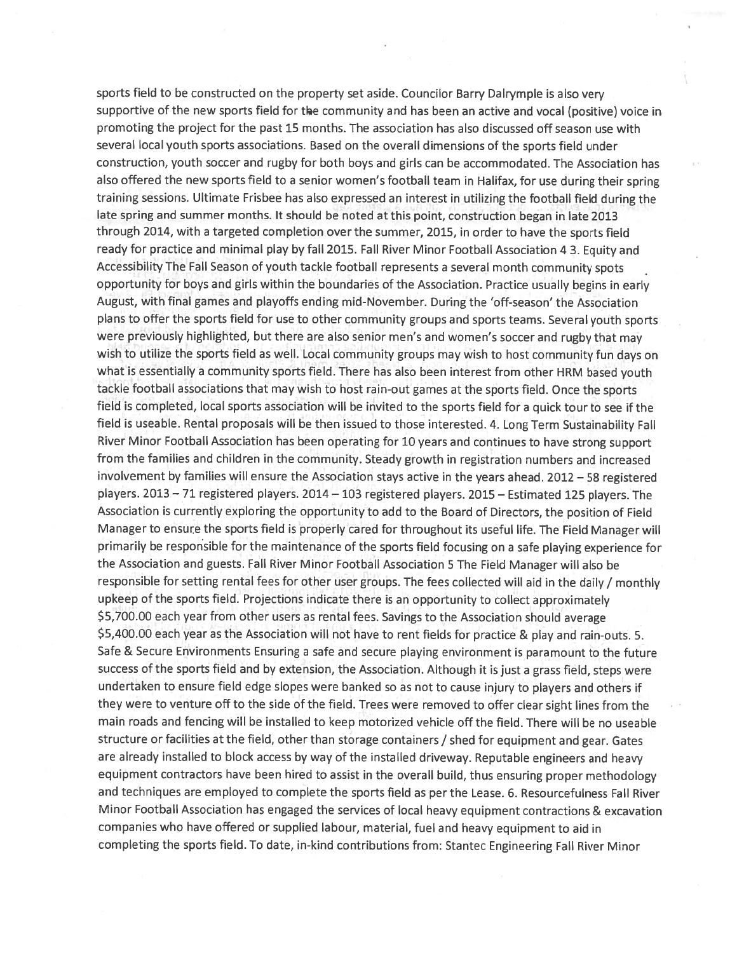sports field to be constructed on the property set aside. Councilor Barry Dalrymple is also very supportive of the new sports field for the community and has been an active and vocal (positive) voice in promoting the project for the past 15 months. The association has also discussed off season use with several local youth sports associations. Based on the overall dimensions of the sports field under construction, youth soccer and rugby for both boys and girls can be accommodated. The Association has also offered the new sports field to a senior women's football team in Halifax, for use during their spring training sessions. Ultimate Frisbee has also expressed an interest in utilizing the football field during the late spring and summer months. It should be noted at this point, construction began in late 2013 through 2014, with a targeted completion over the summer, 2015, in order to have the sports field ready for practice and minimal play by fall 2015. Fall River Minor Football Association 4 3. Equity and Accessibility The Fall Season of youth tackle football represents a several month community spots opportunity for boys and girls within the boundaries of the Association. Practice usually begins in early August, with final games and playoffs ending mid-November. During the 'off-season' the Association plans to offer the sports field for use to other community groups and sports teams. Several youth sports were previously highlighted, but there are also senior men's and women's soccer and rugby that may wish to utilize the sports field as well. Local community groups may wish to host community fun days on what is essentially a community sports field. There has also been interest from other HRM based youth tackle football associations that may wish to host rain-out games at the sports field. Once the sports field is completed, local sports association will be invited to the sports field for a quick tour to see if the field is useable. Rental proposals will be then issued to those interested. 4. Long Term Sustainability Fall River Minor Football Association has been operating for 10 years and continues to have strong support from the families and children in the community. Steady growth in registration numbers and increased involvement by families will ensure the Association stays active in the years ahead. 2012 - 58 registered players. 2013 - 71 registered players. 2014 - 103 registered players. 2015 - Estimated 125 players. The Association is currently exploring the opportunity to add to the Board of Directors, the position of Field Manager to ensure the sports field is properly cared for throughout its useful life. The Field Manager will primarily be responsible for the maintenance of the sports field focusing on a safe playing experience for the Association and guests. Fall River Minor Football Association 5 The Field Manager will also be responsible for setting rental fees for other user groups. The fees collected will aid in the daily / monthly upkeep of the sports field. Projections indicate there is an opportunity to collect approximately \$5,700.00 each year from other users as rental fees. Savings to the Association should average \$5,400.00 each year as the Association will not have to rent fields for practice & play and rain-outs. 5. Safe & Secure Environments Ensuring a safe and secure playing environment is paramount to the future success of the sports field and by extension, the Association. Although it is just a grass field, steps were undertaken to ensure field edge slopes were banked so as not to cause injury to players and others if they were to venture off to the side of the field. Trees were removed to offer clear sight lines from the main roads and fencing will be installed to keep motorized vehicle off the field. There will be no useable structure or facilities at the field, other than storage containers / shed for equipment and gear. Gates are already installed to block access by way of the installed driveway. Reputable engineers and heavy equipment contractors have been hired to assist in the overall build, thus ensuring proper methodology and techniques are employed to complete the sports field as per the Lease. 6. Resourcefulness Fall River Minor Football Association has engaged the services of local heavy equipment contractions & excavation companies who have offered or supplied labour, material, fuel and heavy equipment to aid in completing the sports field. To date, in-kind contributions from: Stantec Engineering Fall River Minor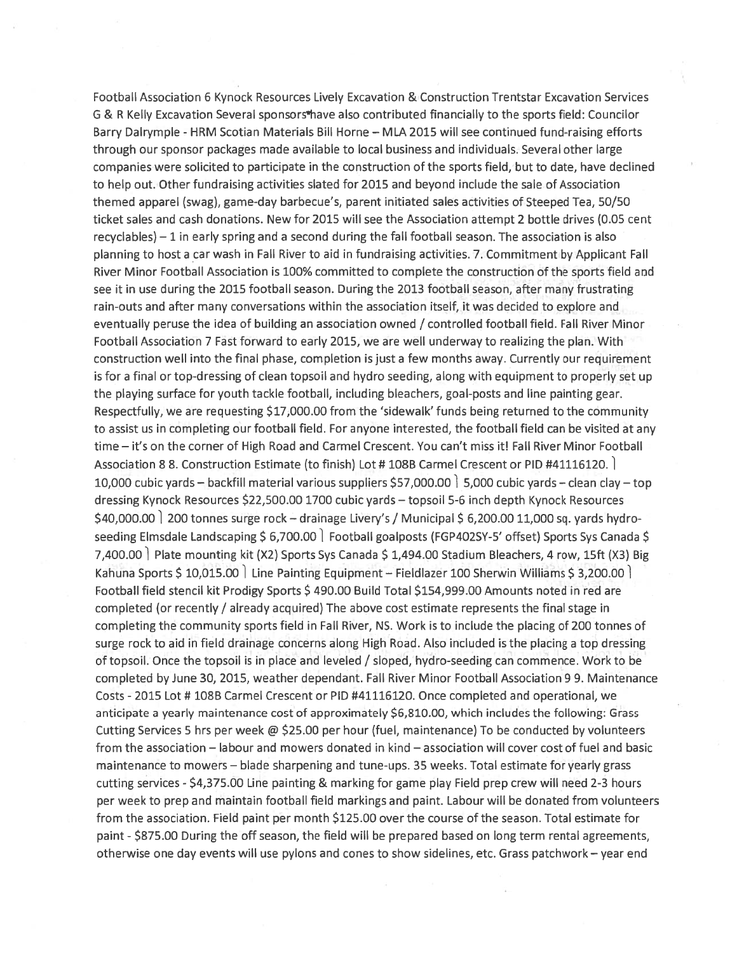Football Association 6 Kynock Resources Lively Excavation & Construction Trentstar Excavation Services G & R Kelly Excavation Several sponsors thave also contributed financially to the sports field: Councilor Barry Dalrymple - HRM Scotian Materials Bill Horne - MLA 2015 will see continued fund-raising efforts through our sponsor packages made available to local business and individuals. Several other large companies were solicited to participate in the construction of the sports field, but to date, have declined to help out. Other fundraising activities slated for 2015 and beyond include the sale of Association themed apparel (swag), game-day barbecue's, parent initiated sales activities of Steeped Tea, 50/50 ticket sales and cash donations. New for 2015 will see the Association attempt 2 bottle drives (0.05 cent recyclables) - 1 in early spring and a second during the fall football season. The association is also planning to host a car wash in Fall River to aid in fundraising activities. 7. Commitment by Applicant Fall River Minor Football Association is 100% committed to complete the construction of the sports field and see it in use during the 2015 football season. During the 2013 football season, after many frustrating rain-outs and after many conversations within the association itself, it was decided to explore and eventually peruse the idea of building an association owned / controlled football field. Fall River Minor Football Association 7 Fast forward to early 2015, we are well underway to realizing the plan. With construction well into the final phase, completion is just a few months away. Currently our requirement is for a final or top-dressing of clean topsoil and hydro seeding, along with equipment to properly set up the playing surface for youth tackle football, including bleachers, goal-posts and line painting gear. Respectfully, we are requesting \$17,000.00 from the 'sidewalk' funds being returned to the community to assist us in completing our football field. For anyone interested, the football field can be visited at any time - it's on the corner of High Road and Carmel Crescent. You can't miss it! Fall River Minor Football Association 8 8. Construction Estimate (to finish) Lot #108B Carmel Crescent or PID #41116120. 10,000 cubic yards - backfill material various suppliers \$57,000.00 | 5,000 cubic yards - clean clay - top dressing Kynock Resources \$22,500.00 1700 cubic yards - topsoil 5-6 inch depth Kynock Resources \$40,000.00 | 200 tonnes surge rock - drainage Livery's / Municipal \$ 6,200.00 11,000 sq. yards hydroseeding Elmsdale Landscaping \$ 6,700.00 Football goalposts (FGP402SY-5' offset) Sports Sys Canada \$ 7,400.00 Plate mounting kit (X2) Sports Sys Canada \$ 1,494.00 Stadium Bleachers, 4 row, 15ft (X3) Big Kahuna Sports \$10,015.00 Line Painting Equipment - Fieldlazer 100 Sherwin Williams \$3,200.00 Football field stencil kit Prodigy Sports \$490.00 Build Total \$154,999.00 Amounts noted in red are completed (or recently / already acquired) The above cost estimate represents the final stage in completing the community sports field in Fall River, NS. Work is to include the placing of 200 tonnes of surge rock to aid in field drainage concerns along High Road. Also included is the placing a top dressing of topsoil. Once the topsoil is in place and leveled / sloped, hydro-seeding can commence. Work to be completed by June 30, 2015, weather dependant. Fall River Minor Football Association 9 9. Maintenance Costs - 2015 Lot # 108B Carmel Crescent or PID #41116120. Once completed and operational, we anticipate a yearly maintenance cost of approximately \$6,810.00, which includes the following: Grass Cutting Services 5 hrs per week @ \$25.00 per hour (fuel, maintenance) To be conducted by volunteers from the association - labour and mowers donated in kind - association will cover cost of fuel and basic maintenance to mowers - blade sharpening and tune-ups. 35 weeks. Total estimate for yearly grass cutting services - \$4,375.00 Line painting & marking for game play Field prep crew will need 2-3 hours per week to prep and maintain football field markings and paint. Labour will be donated from volunteers from the association. Field paint per month \$125.00 over the course of the season. Total estimate for paint - \$875.00 During the off season, the field will be prepared based on long term rental agreements, otherwise one day events will use pylons and cones to show sidelines, etc. Grass patchwork - year end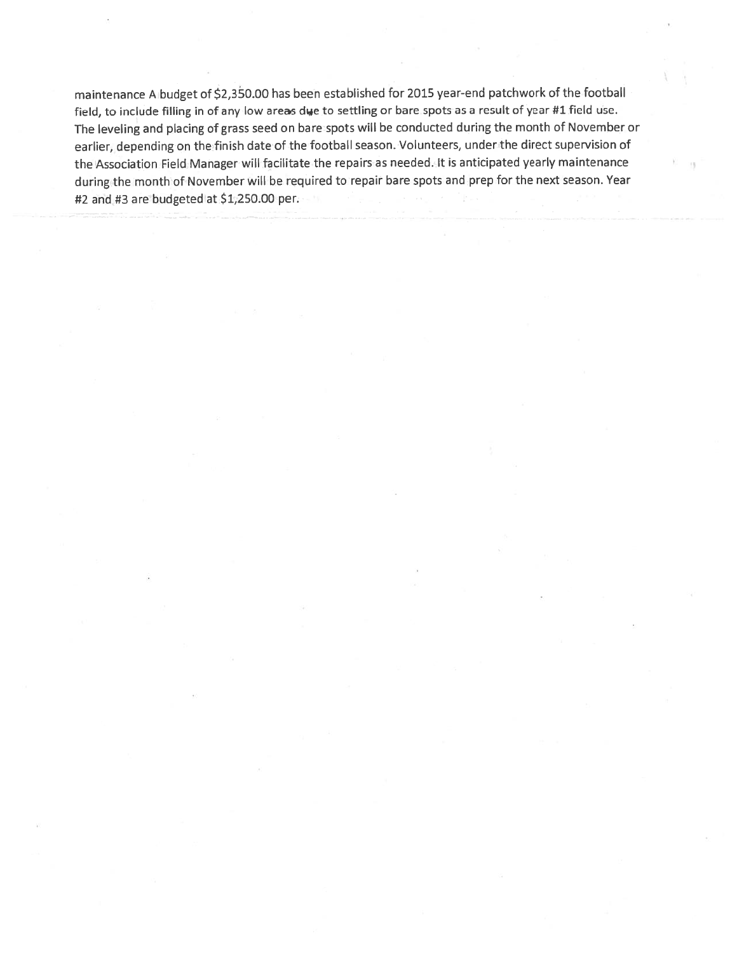maintenance A budget of \$2,350.00 has been established for 2015 year-end patchwork of the football field, to include filling in of any low areas due to settling or bare spots as a result of year #1 field use. The leveling and placing of grass seed on bare spots will be conducted during the month of November or earlier, depending on the finish date of the football season. Volunteers, under the direct supervision of the Association Field Manager will facilitate the repairs as needed. It is anticipated yearly maintenance during the month of November will be required to repair bare spots and prep for the next season. Year #2 and #3 are budgeted at \$1,250.00 per.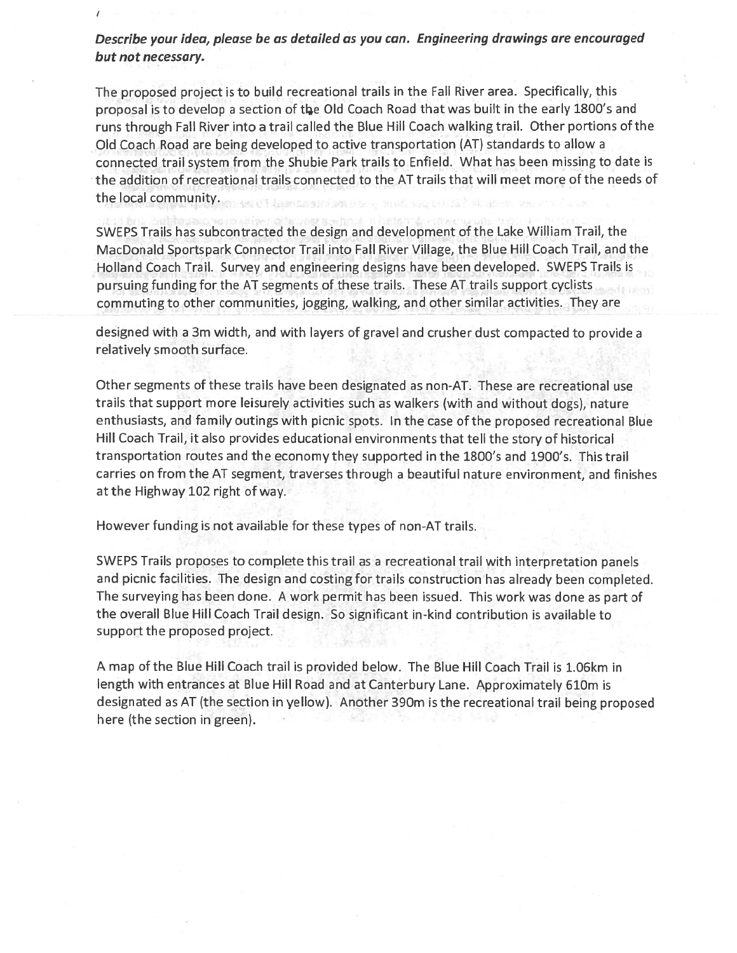Describe your idea, please be as detailed as you can. Engineering drawings are encouraged but not necessary.

The proposed project is to build recreational trails in the Fall River area. Specifically, this proposal is to develop a section of the Old Coach Road that was built in the early 1800's and runs through Fall River into a trail called the Blue Hill Coach walking trail. Other portions of the Old Coach Road are being developed to active transportation (AT) standards to allow a connected trail system from the Shubie Park trails to Enfield. What has been missing to date is the addition of recreational trails connected to the AT trails that will meet more of the needs of the local community.

SWEPS Trails has subcontracted the design and development of the Lake William Trail, the MacDonald Sportspark Connector Trail into Fall River Village, the Blue Hill Coach Trail, and the Holland Coach Trail. Survey and engineering designs have been developed. SWEPS Trails is pursuing funding for the AT segments of these trails. These AT trails support cyclists commuting to other communities, jogging, walking, and other similar activities. They are

designed with a 3m width, and with layers of gravel and crusher dust compacted to provide a relatively smooth surface.

Other segments of these trails have been designated as non-AT. These are recreational use trails that support more leisurely activities such as walkers (with and without dogs), nature enthusiasts, and family outings with picnic spots. In the case of the proposed recreational Blue Hill Coach Trail, it also provides educational environments that tell the story of historical transportation routes and the economy they supported in the 1800's and 1900's. This trail carries on from the AT segment, traverses through a beautiful nature environment, and finishes at the Highway 102 right of way.

However funding is not available for these types of non-AT trails.

SWEPS Trails proposes to complete this trail as a recreational trail with interpretation panels and picnic facilities. The design and costing for trails construction has already been completed. The surveying has been done. A work permit has been issued. This work was done as part of the overall Blue Hill Coach Trail design. So significant in-kind contribution is available to support the proposed project.

A map of the Blue Hill Coach trail is provided below. The Blue Hill Coach Trail is 1.06km in length with entrances at Blue Hill Road and at Canterbury Lane. Approximately 610m is designated as AT (the section in yellow). Another 390m is the recreational trail being proposed here (the section in green).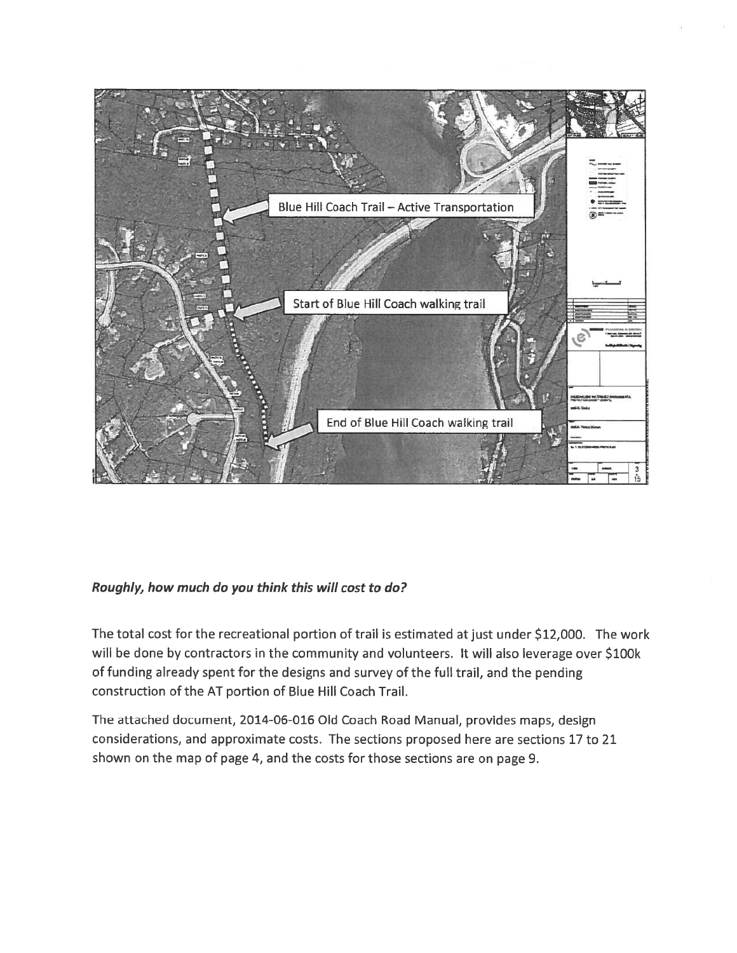

# Roughly, how much do you think this will cost to do?

The total cost for the recreational portion of trail is estimated at just under \$12,000. The work will be done by contractors in the community and volunteers. It will also leverage over \$100k of funding already spent for the designs and survey of the full trail, and the pending construction of the AT portion of Blue Hill Coach Trail.

The attached document, 2014-06-016 Old Coach Road Manual, provides maps, design considerations, and approximate costs. The sections proposed here are sections 17 to 21 shown on the map of page 4, and the costs for those sections are on page 9.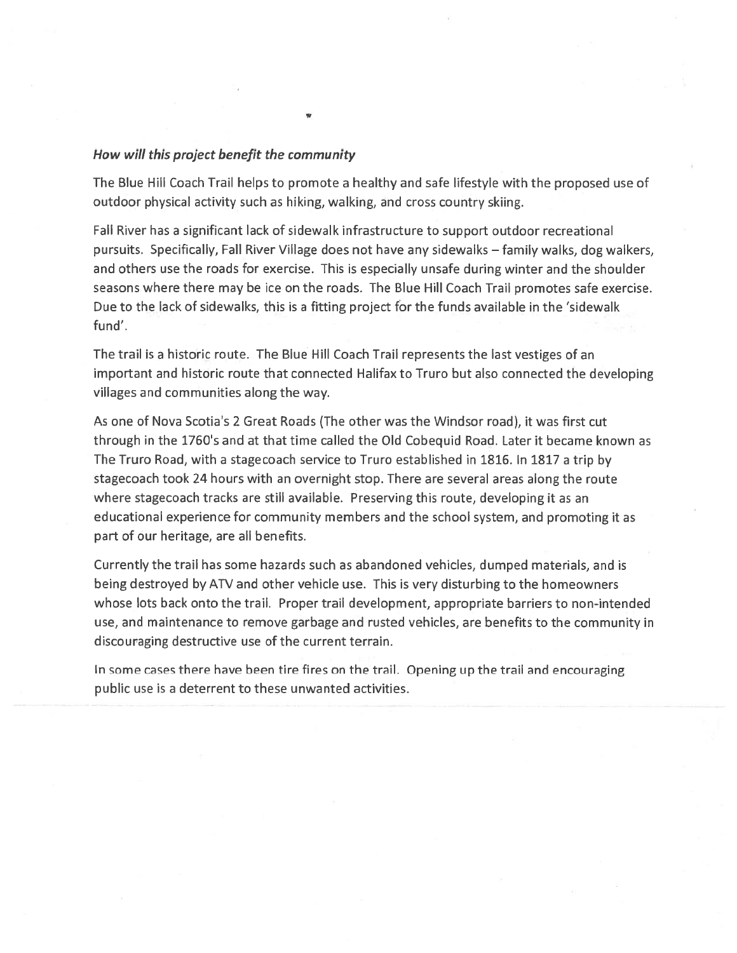### How will this project benefit the community

The Blue Hill Coach Trail helps to promote a healthy and safe lifestyle with the proposed use of outdoor physical activity such as hiking, walking, and cross country skiing.

Fall River has a significant lack of sidewalk infrastructure to support outdoor recreational pursuits. Specifically, Fall River Village does not have any sidewalks - family walks, dog walkers, and others use the roads for exercise. This is especially unsafe during winter and the shoulder seasons where there may be ice on the roads. The Blue Hill Coach Trail promotes safe exercise. Due to the lack of sidewalks, this is a fitting project for the funds available in the 'sidewalk fund'.

The trail is a historic route. The Blue Hill Coach Trail represents the last vestiges of an important and historic route that connected Halifax to Truro but also connected the developing villages and communities along the way.

As one of Nova Scotia's 2 Great Roads (The other was the Windsor road), it was first cut through in the 1760's and at that time called the Old Cobequid Road. Later it became known as The Truro Road, with a stagecoach service to Truro established in 1816. In 1817 a trip by stagecoach took 24 hours with an overnight stop. There are several areas along the route where stagecoach tracks are still available. Preserving this route, developing it as an educational experience for community members and the school system, and promoting it as part of our heritage, are all benefits.

Currently the trail has some hazards such as abandoned vehicles, dumped materials, and is being destroyed by ATV and other vehicle use. This is very disturbing to the homeowners whose lots back onto the trail. Proper trail development, appropriate barriers to non-intended use, and maintenance to remove garbage and rusted vehicles, are benefits to the community in discouraging destructive use of the current terrain.

In some cases there have been tire fires on the trail. Opening up the trail and encouraging public use is a deterrent to these unwanted activities.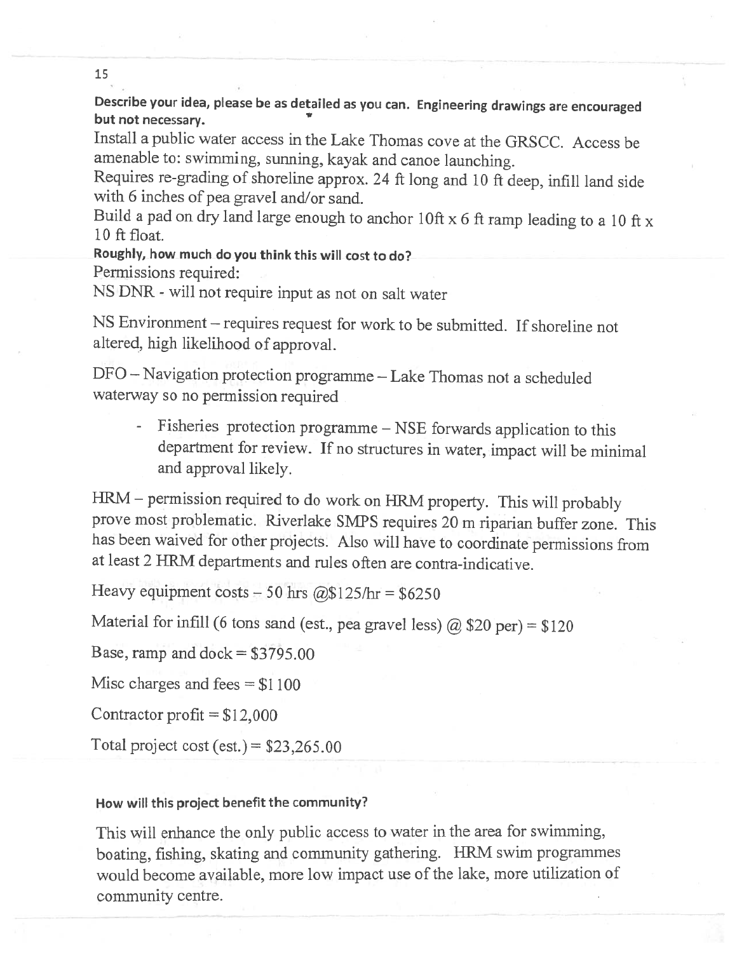Describe your idea, please be as detailed as you can. Engineering drawings are encouraged but not necessary.

Install a public water access in the Lake Thomas cove at the GRSCC. Access be amenable to: swimming, sunning, kayak and canoe launching.

Requires re-grading of shoreline approx. 24 ft long and 10 ft deep, infill land side with 6 inches of pea gravel and/or sand.

Build a pad on dry land large enough to anchor 10ft x 6 ft ramp leading to a 10 ft x 10 ft float.

Roughly, how much do you think this will cost to do? Permissions required:

NS DNR - will not require input as not on salt water

NS Environment - requires request for work to be submitted. If shoreline not altered, high likelihood of approval.

DFO - Navigation protection programme - Lake Thomas not a scheduled waterway so no permission required

Fisheries protection programme – NSE forwards application to this department for review. If no structures in water, impact will be minimal and approval likely.

HRM - permission required to do work on HRM property. This will probably prove most problematic. Riverlake SMPS requires 20 m riparian buffer zone. This has been waived for other projects. Also will have to coordinate permissions from at least 2 HRM departments and rules often are contra-indicative.

Heavy equipment costs - 50 hrs @\$125/hr = \$6250

Material for infill (6 tons sand (est., pea gravel less)  $\omega$  \$20 per) = \$120

Base, ramp and dock  $= $3795.00$ 

Misc charges and fees  $= $1100$ 

Contractor profit =  $$12,000$ 

Total project cost (est.) =  $$23,265.00$ 

### How will this project benefit the community?

This will enhance the only public access to water in the area for swimming, boating, fishing, skating and community gathering. HRM swim programmes would become available, more low impact use of the lake, more utilization of community centre.

15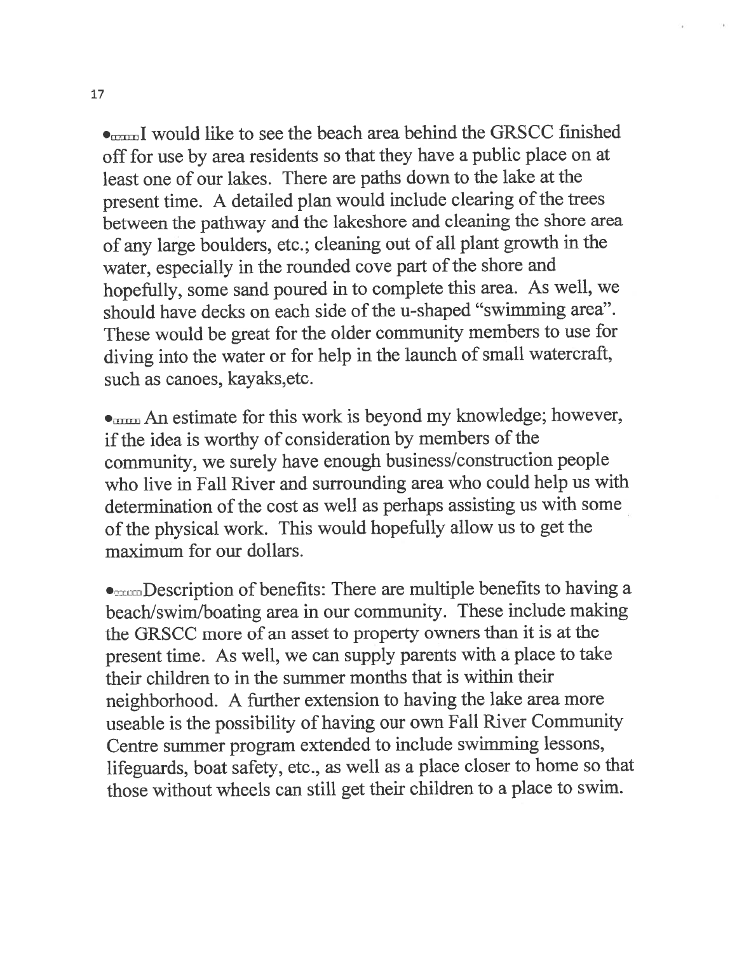• would like to see the beach area behind the GRSCC finished off for use by area residents so that they have a public place on at least one of our lakes. There are paths down to the lake at the present time. A detailed plan would include clearing of the trees between the pathway and the lakeshore and cleaning the shore area of any large boulders, etc.; cleaning out of all plant growth in the water, especially in the rounded cove part of the shore and hopefully, some sand poured in to complete this area. As well, we should have decks on each side of the u-shaped "swimming area". These would be great for the older community members to use for diving into the water or for help in the launch of small watercraft, such as canoes, kayaks, etc.

• mm An estimate for this work is beyond my knowledge; however, if the idea is worthy of consideration by members of the community, we surely have enough business/construction people who live in Fall River and surrounding area who could help us with determination of the cost as well as perhaps assisting us with some of the physical work. This would hopefully allow us to get the maximum for our dollars.

 $\bullet_{\text{num}}$  Description of benefits: There are multiple benefits to having a beach/swim/boating area in our community. These include making the GRSCC more of an asset to property owners than it is at the present time. As well, we can supply parents with a place to take their children to in the summer months that is within their neighborhood. A further extension to having the lake area more useable is the possibility of having our own Fall River Community Centre summer program extended to include swimming lessons, lifeguards, boat safety, etc., as well as a place closer to home so that those without wheels can still get their children to a place to swim.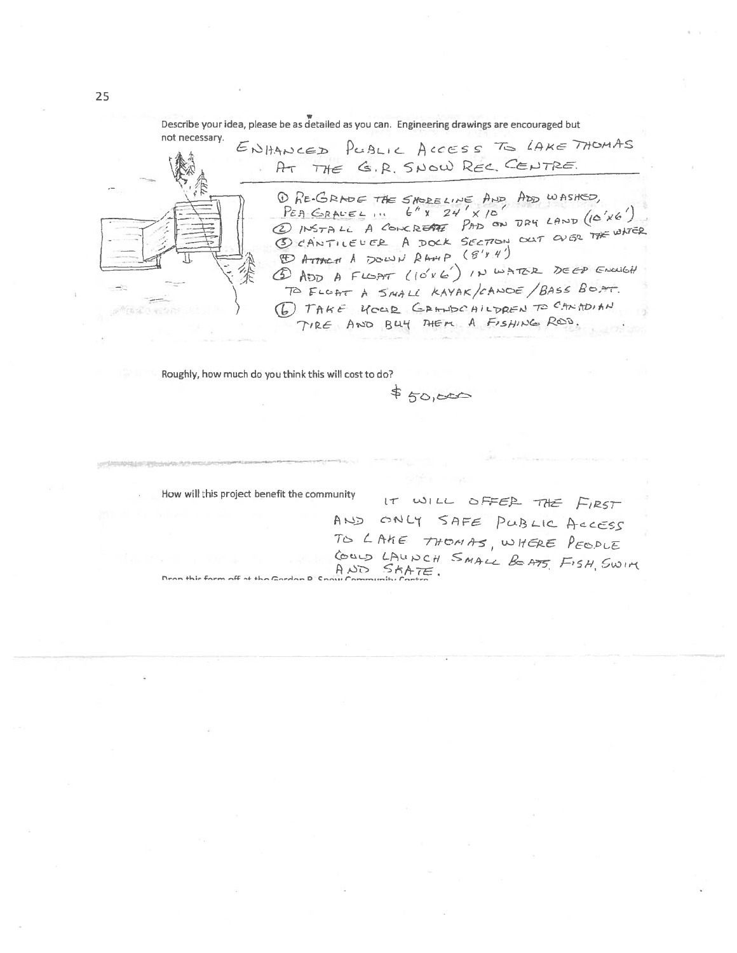Describe your idea, please be as detailed as you can. Engineering drawings are encouraged but

not necessary. ENHANCED PUBLIC ACCESS TO LAKE THOMAS AT THE G.R. SNOW REC. CENTRE. O RE-GRADE THE SHORELINE AND ADD WASHED,<br>PEA GRAVEL ... 6" x 24' x 10"<br>2 INSTALL A CONCRETTE PAD ON DRY LAND (10'X6') 3 CANTILEUER A DOCK SECTION OUT OUGR THE WATER 5) ADD A FLOAT (10'x 6') IN WATER DEEP ENOUGH TO FLOAT A SMALL KAYAK/CANDE/BASS BOAT. (6) TAKE YOUR GRANDO AILDREN TO CANTOIN TIRE AND BUY THEM A FISHING ROD.

Roughly, how much do you think this will cost to do?

 $$50,000$ 

How will this project benefit the community

Dron thir form off at the Gordon

IT WILL OFFER THE FIRST AND ONLY SAFE PUBLIC ACCESS TO LAKE THOMAS, WHERE PEOPLE COULD LAUNCH SMALL BOATS, FISH, SWIM

25